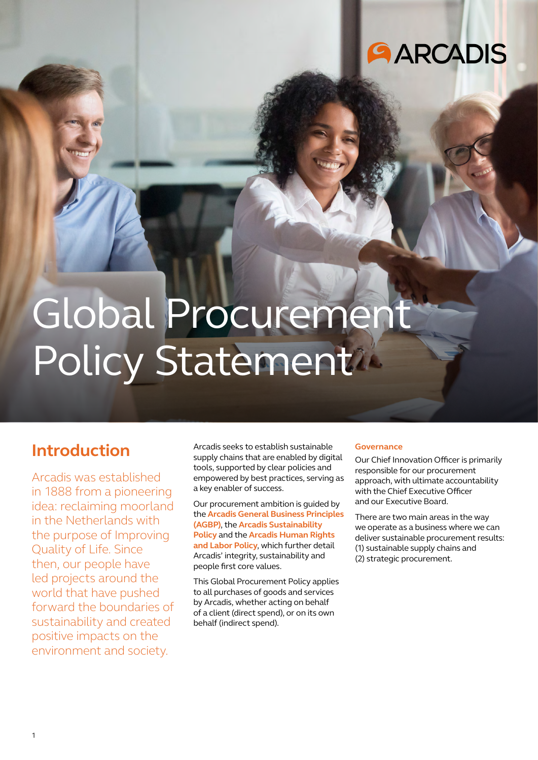## **AARCADIS**

# Global Procurement Policy Statement

## **Introduction**

Arcadis was established in 1888 from a pioneering idea: reclaiming moorland in the Netherlands with the purpose of Improving Quality of Life. Since then, our people have led projects around the world that have pushed forward the boundaries of sustainability and created positive impacts on the environment and society.

Arcadis seeks to establish sustainable supply chains that are enabled by digital tools, supported by clear policies and empowered by best practices, serving as a key enabler of success.

Our procurement ambition is guided by the **Arcadis General Business Principles (AGBP)**, the **Arcadis Sustainability Policy** and the **Arcadis Human Rights and Labor Policy**, which further detail Arcadis' integrity, sustainability and people first core values.

This Global Procurement Policy applies to all purchases of goods and services by Arcadis, whether acting on behalf of a client (direct spend), or on its own behalf (indirect spend).

#### **Governance**

Our Chief Innovation Officer is primarily responsible for our procurement approach, with ultimate accountability with the Chief Executive Officer and our Executive Board.

There are two main areas in the way we operate as a business where we can deliver sustainable procurement results: (1) sustainable supply chains and (2) strategic procurement.